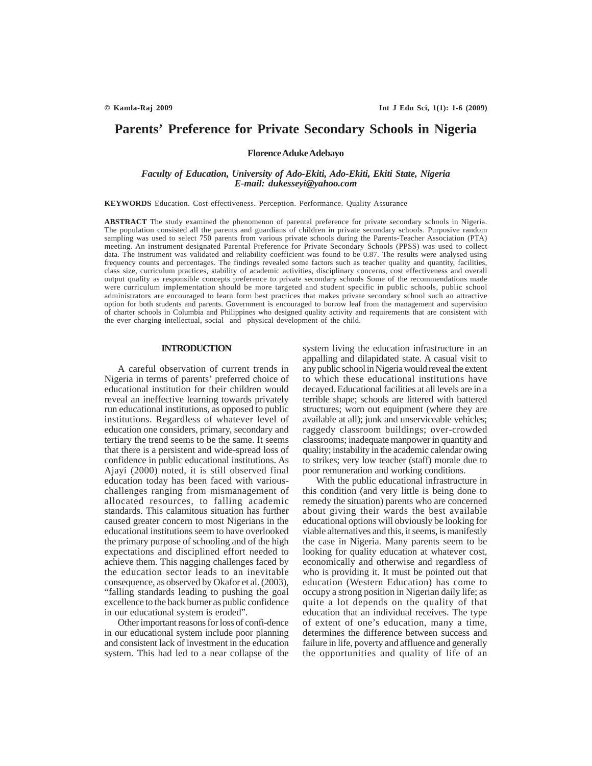# **Parents' Preference for Private Secondary Schools in Nigeria**

**Florence Aduke Adebayo**

# *Faculty of Education, University of Ado-Ekiti, Ado-Ekiti, Ekiti State, Nigeria E-mail: dukesseyi@yahoo.com*

**KEYWORDS** Education. Cost-effectiveness. Perception. Performance. Quality Assurance

**ABSTRACT** The study examined the phenomenon of parental preference for private secondary schools in Nigeria. The population consisted all the parents and guardians of children in private secondary schools. Purposive random sampling was used to select 750 parents from various private schools during the Parents-Teacher Association (PTA) meeting. An instrument designated Parental Preference for Private Secondary Schools (PPSS) was used to collect data. The instrument was validated and reliability coefficient was found to be 0.87. The results were analysed using frequency counts and percentages. The findings revealed some factors such as teacher quality and quantity, facilities, class size, curriculum practices, stability of academic activities, disciplinary concerns, cost effectiveness and overall output quality as responsible concepts preference to private secondary schools Some of the recommendations made were curriculum implementation should be more targeted and student specific in public schools, public school administrators are encouraged to learn form best practices that makes private secondary school such an attractive option for both students and parents. Government is encouraged to borrow leaf from the management and supervision of charter schools in Columbia and Philippines who designed quality activity and requirements that are consistent with the ever charging intellectual, social and physical development of the child.

# **INTRODUCTION**

A careful observation of current trends in Nigeria in terms of parents' preferred choice of educational institution for their children would reveal an ineffective learning towards privately run educational institutions, as opposed to public institutions. Regardless of whatever level of education one considers, primary, secondary and tertiary the trend seems to be the same. It seems that there is a persistent and wide-spread loss of confidence in public educational institutions. As Ajayi (2000) noted, it is still observed final education today has been faced with variouschallenges ranging from mismanagement of allocated resources, to falling academic standards. This calamitous situation has further caused greater concern to most Nigerians in the educational institutions seem to have overlooked the primary purpose of schooling and of the high expectations and disciplined effort needed to achieve them. This nagging challenges faced by the education sector leads to an inevitable consequence, as observed by Okafor et al. (2003), "falling standards leading to pushing the goal excellence to the back burner as public confidence in our educational system is eroded".

Other important reasons for loss of confi-dence in our educational system include poor planning and consistent lack of investment in the education system. This had led to a near collapse of the system living the education infrastructure in an appalling and dilapidated state. A casual visit to any public school in Nigeria would reveal the extent to which these educational institutions have decayed. Educational facilities at all levels are in a terrible shape; schools are littered with battered structures; worn out equipment (where they are available at all); junk and unserviceable vehicles; raggedy classroom buildings; over-crowded classrooms; inadequate manpower in quantity and quality; instability in the academic calendar owing to strikes; very low teacher (staff) morale due to poor remuneration and working conditions.

With the public educational infrastructure in this condition (and very little is being done to remedy the situation) parents who are concerned about giving their wards the best available educational options will obviously be looking for viable alternatives and this, it seems, is manifestly the case in Nigeria. Many parents seem to be looking for quality education at whatever cost, economically and otherwise and regardless of who is providing it. It must be pointed out that education (Western Education) has come to occupy a strong position in Nigerian daily life; as quite a lot depends on the quality of that education that an individual receives. The type of extent of one's education, many a time, determines the difference between success and failure in life, poverty and affluence and generally the opportunities and quality of life of an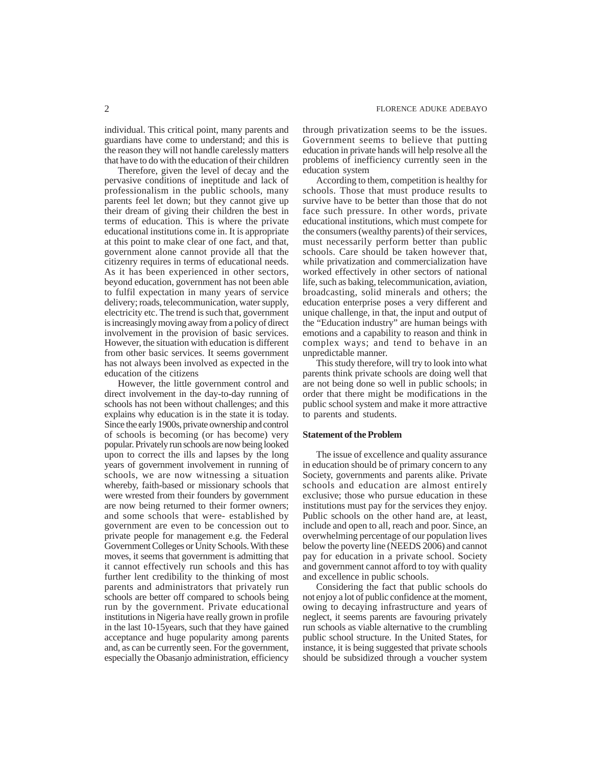individual. This critical point, many parents and guardians have come to understand; and this is the reason they will not handle carelessly matters that have to do with the education of their children

Therefore, given the level of decay and the pervasive conditions of ineptitude and lack of professionalism in the public schools, many parents feel let down; but they cannot give up their dream of giving their children the best in terms of education. This is where the private educational institutions come in. It is appropriate at this point to make clear of one fact, and that, government alone cannot provide all that the citizenry requires in terms of educational needs. As it has been experienced in other sectors, beyond education, government has not been able to fulfil expectation in many years of service delivery; roads, telecommunication, water supply, electricity etc. The trend is such that, government is increasingly moving away from a policy of direct involvement in the provision of basic services. However, the situation with education is different from other basic services. It seems government has not always been involved as expected in the education of the citizens

However, the little government control and direct involvement in the day-to-day running of schools has not been without challenges; and this explains why education is in the state it is today. Since the early 1900s, private ownership and control of schools is becoming (or has become) very popular. Privately run schools are now being looked upon to correct the ills and lapses by the long years of government involvement in running of schools, we are now witnessing a situation whereby, faith-based or missionary schools that were wrested from their founders by government are now being returned to their former owners; and some schools that were- established by government are even to be concession out to private people for management e.g. the Federal Government Colleges or Unity Schools. With these moves, it seems that government is admitting that it cannot effectively run schools and this has further lent credibility to the thinking of most parents and administrators that privately run schools are better off compared to schools being run by the government. Private educational institutions in Nigeria have really grown in profile in the last 10-15years, such that they have gained acceptance and huge popularity among parents and, as can be currently seen. For the government, especially the Obasanjo administration, efficiency through privatization seems to be the issues. Government seems to believe that putting education in private hands will help resolve all the problems of inefficiency currently seen in the education system

According to them, competition is healthy for schools. Those that must produce results to survive have to be better than those that do not face such pressure. In other words, private educational institutions, which must compete for the consumers (wealthy parents) of their services, must necessarily perform better than public schools. Care should be taken however that, while privatization and commercialization have worked effectively in other sectors of national life, such as baking, telecommunication, aviation, broadcasting, solid minerals and others; the education enterprise poses a very different and unique challenge, in that, the input and output of the "Education industry" are human beings with emotions and a capability to reason and think in complex ways; and tend to behave in an unpredictable manner.

This study therefore, will try to look into what parents think private schools are doing well that are not being done so well in public schools; in order that there might be modifications in the public school system and make it more attractive to parents and students.

# **Statement of the Problem**

The issue of excellence and quality assurance in education should be of primary concern to any Society, governments and parents alike. Private schools and education are almost entirely exclusive; those who pursue education in these institutions must pay for the services they enjoy. Public schools on the other hand are, at least, include and open to all, reach and poor. Since, an overwhelming percentage of our population lives below the poverty line (NEEDS 2006) and cannot pay for education in a private school. Society and government cannot afford to toy with quality and excellence in public schools.

Considering the fact that public schools do not enjoy a lot of public confidence at the moment, owing to decaying infrastructure and years of neglect, it seems parents are favouring privately run schools as viable alternative to the crumbling public school structure. In the United States, for instance, it is being suggested that private schools should be subsidized through a voucher system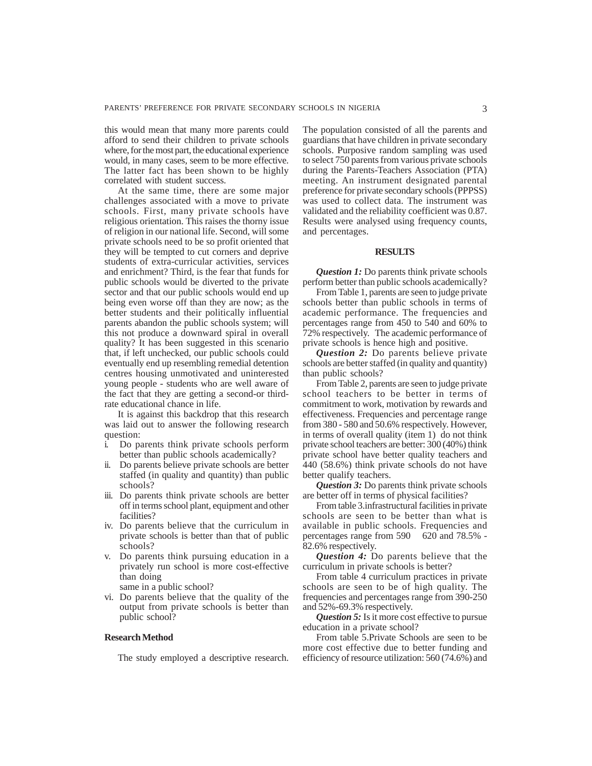this would mean that many more parents could afford to send their children to private schools where, for the most part, the educational experience would, in many cases, seem to be more effective. The latter fact has been shown to be highly correlated with student success.

At the same time, there are some major challenges associated with a move to private schools. First, many private schools have religious orientation. This raises the thorny issue of religion in our national life. Second, will some private schools need to be so profit oriented that they will be tempted to cut corners and deprive students of extra-curricular activities, services and enrichment? Third, is the fear that funds for public schools would be diverted to the private sector and that our public schools would end up being even worse off than they are now; as the better students and their politically influential parents abandon the public schools system; will this not produce a downward spiral in overall quality? It has been suggested in this scenario that, if left unchecked, our public schools could eventually end up resembling remedial detention centres housing unmotivated and uninterested young people - students who are well aware of the fact that they are getting a second-or thirdrate educational chance in life.

It is against this backdrop that this research was laid out to answer the following research question:

- i. Do parents think private schools perform better than public schools academically?
- ii. Do parents believe private schools are better staffed (in quality and quantity) than public schools?
- iii. Do parents think private schools are better off in terms school plant, equipment and other facilities?
- iv. Do parents believe that the curriculum in private schools is better than that of public schools?
- v. Do parents think pursuing education in a privately run school is more cost-effective than doing

same in a public school?

vi. Do parents believe that the quality of the output from private schools is better than public school?

# **Research Method**

The study employed a descriptive research.

The population consisted of all the parents and guardians that have children in private secondary schools. Purposive random sampling was used to select 750 parents from various private schools during the Parents-Teachers Association (PTA) meeting. An instrument designated parental preference for private secondary schools (PPPSS) was used to collect data. The instrument was validated and the reliability coefficient was 0.87. Results were analysed using frequency counts, and percentages.

#### **RESULTS**

*Question 1:* Do parents think private schools perform better than public schools academically?

From Table 1, parents are seen to judge private schools better than public schools in terms of academic performance. The frequencies and percentages range from 450 to 540 and 60% to 72% respectively. The academic performance of private schools is hence high and positive.

*Question 2:* Do parents believe private schools are better staffed (in quality and quantity) than public schools?

From Table 2, parents are seen to judge private school teachers to be better in terms of commitment to work, motivation by rewards and effectiveness. Frequencies and percentage range from 380 - 580 and 50.6% respectively. However, in terms of overall quality (item 1) do not think private school teachers are better: 300 (40%) think private school have better quality teachers and 440 (58.6%) think private schools do not have better qualify teachers.

*Question 3:* Do parents think private schools are better off in terms of physical facilities?

From table 3.infrastructural facilities in private schools are seen to be better than what is available in public schools. Frequencies and percentages range from 590 620 and 78.5% - 82.6% respectively.

*Question 4:* Do parents believe that the curriculum in private schools is better?

From table 4 curriculum practices in private schools are seen to be of high quality. The frequencies and percentages range from 390-250 and 52%-69.3% respectively.

*Question 5:* Is it more cost effective to pursue education in a private school?

From table 5.Private Schools are seen to be more cost effective due to better funding and efficiency of resource utilization: 560 (74.6%) and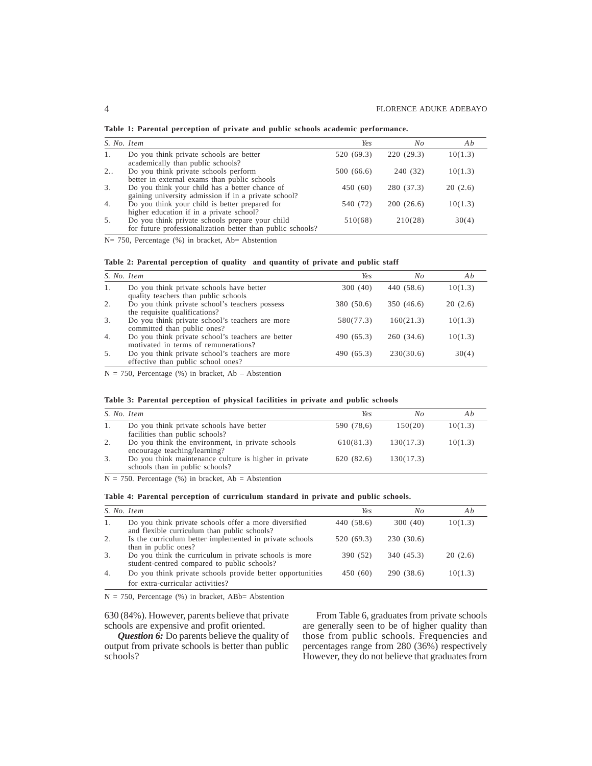| S. No. Item |                                                                                                               | Yes        | No         | A b     |
|-------------|---------------------------------------------------------------------------------------------------------------|------------|------------|---------|
| 1.          | Do you think private schools are better<br>academically than public schools?                                  | 520 (69.3) | 220(29.3)  | 10(1.3) |
| 2           | Do you think private schools perform<br>better in external exams than public schools                          | 500 (66.6) | 240 (32)   | 10(1.3) |
| 3.          | Do you think your child has a better chance of<br>gaining university admission if in a private school?        | 450 (60)   | 280 (37.3) | 20(2.6) |
| 4.          | Do you think your child is better prepared for<br>higher education if in a private school?                    | 540 (72)   | 200(26.6)  | 10(1.3) |
| 5.          | Do you think private schools prepare your child<br>for future professionalization better than public schools? | 510(68)    | 210(28)    | 30(4)   |

**Table 1: Parental perception of private and public schools academic performance.**

N= 750, Percentage (%) in bracket, Ab= Abstention

| S. No. Item |                                                                                           | Yes        | No         | A b     |
|-------------|-------------------------------------------------------------------------------------------|------------|------------|---------|
| 1.          | Do you think private schools have better<br>quality teachers than public schools          | 300 (40)   | 440 (58.6) | 10(1.3) |
| 2.          | Do you think private school's teachers possess<br>the requisite qualifications?           | 380 (50.6) | 350 (46.6) | 20(2.6) |
| 3.          | Do you think private school's teachers are more<br>committed than public ones?            | 580(77.3)  | 160(21.3)  | 10(1.3) |
| 4.          | Do you think private school's teachers are better<br>motivated in terms of remunerations? | 490 (65.3) | 260 (34.6) | 10(1.3) |
| .5.         | Do you think private school's teachers are more<br>effective than public school ones?     | 490 (65.3) | 230(30.6)  | 30(4)   |

 $N = 750$ , Percentage (%) in bracket, Ab – Abstention

#### **Table 3: Parental perception of physical facilities in private and public schools**

| S. No. Item |                                                                                          | Yes        | Nο        | A b     |
|-------------|------------------------------------------------------------------------------------------|------------|-----------|---------|
|             | Do you think private schools have better<br>facilities than public schools?              | 590 (78.6) | 150(20)   | 10(1.3) |
| 2.          | Do you think the environment, in private schools<br>encourage teaching/learning?         | 610(81.3)  | 130(17.3) | 10(1.3) |
| 3.          | Do you think maintenance culture is higher in private<br>schools than in public schools? | 620 (82.6) | 130(17.3) |         |

 $N = 750$ . Percentage (%) in bracket, Ab = Abstention

# **Table 4: Parental perception of curriculum standard in private and public schools.**

| S. No. Item |                                                                                                       | Yes        | No         | A b     |
|-------------|-------------------------------------------------------------------------------------------------------|------------|------------|---------|
| 1.          | Do you think private schools offer a more diversified<br>and flexible curriculum than public schools? | 440 (58.6) | 300(40)    | 10(1.3) |
| 2.          | Is the curriculum better implemented in private schools<br>than in public ones?                       | 520 (69.3) | 230(30.6)  |         |
| 3.          | Do you think the curriculum in private schools is more<br>student-centred compared to public schools? | 390 (52)   | 340 (45.3) | 20(2.6) |
| 4.          | Do you think private schools provide better opportunities<br>for extra-curricular activities?         | 450 (60)   | 290 (38.6) | 10(1.3) |

 $N = 750$ , Percentage (%) in bracket, ABb= Abstention

630 (84%). However, parents believe that private schools are expensive and profit oriented.

*Question 6:* Do parents believe the quality of output from private schools is better than public schools?

From Table 6, graduates from private schools are generally seen to be of higher quality than those from public schools. Frequencies and percentages range from 280 (36%) respectively However, they do not believe that graduates from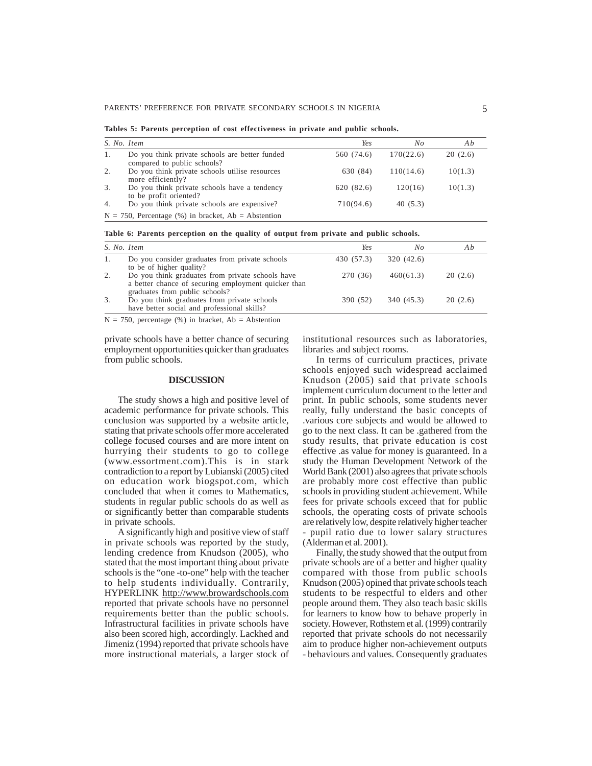**Tables 5: Parents perception of cost effectiveness in private and public schools.**

| S. No. Item |                                                                               | Yes        | No        | Ab      |
|-------------|-------------------------------------------------------------------------------|------------|-----------|---------|
| 1.          | Do you think private schools are better funded<br>compared to public schools? | 560 (74.6) | 170(22.6) | 20(2.6) |
| 2.          | Do you think private schools utilise resources<br>more efficiently?           | 630 (84)   | 110(14.6) | 10(1.3) |
| 3.          | Do you think private schools have a tendency<br>to be profit oriented?        | 620 (82.6) | 120(16)   | 10(1.3) |
| 4.          | Do you think private schools are expensive?                                   | 710(94.6)  | 40(5.3)   |         |
|             | $N = 750$ , Percentage (%) in bracket, Ab = Abstention                        |            |           |         |

|  |  |  |  | Table 6: Parents perception on the quality of output from private and public schools. |
|--|--|--|--|---------------------------------------------------------------------------------------|
|  |  |  |  |                                                                                       |

| S. No. Item |                                                                                                                                           | Yes        | No         |         |
|-------------|-------------------------------------------------------------------------------------------------------------------------------------------|------------|------------|---------|
|             | Do you consider graduates from private schools<br>to be of higher quality?                                                                | 430 (57.3) | 320 (42.6) |         |
| 2.          | Do you think graduates from private schools have<br>a better chance of securing employment quicker than<br>graduates from public schools? | 270 (36)   | 460(61.3)  | 20(2.6) |
| 3.          | Do you think graduates from private schools<br>have better social and professional skills?                                                | 390 (52)   | 340 (45.3) | 20(2.6) |

 $N = 750$ , percentage (%) in bracket,  $Ab = Abstention$ 

private schools have a better chance of securing employment opportunities quicker than graduates from public schools.

#### **DISCUSSION**

The study shows a high and positive level of academic performance for private schools. This conclusion was supported by a website article, stating that private schools offer more accelerated college focused courses and are more intent on hurrying their students to go to college (www.essortment.com).This is in stark contradiction to a report by Lubianski (2005) cited on education work biogspot.com, which concluded that when it comes to Mathematics, students in regular public schools do as well as or significantly better than comparable students in private schools.

A significantly high and positive view of staff in private schools was reported by the study, lending credence from Knudson (2005), who stated that the most important thing about private schools is the "one -to-one" help with the teacher to help students individually. Contrarily, HYPERLINK http://www.browardschools.com reported that private schools have no personnel requirements better than the public schools. Infrastructural facilities in private schools have also been scored high, accordingly. Lackhed and Jimeniz (1994) reported that private schools have more instructional materials, a larger stock of institutional resources such as laboratories, libraries and subject rooms.

In terms of curriculum practices, private schools enjoyed such widespread acclaimed Knudson (2005) said that private schools implement curriculum document to the letter and print. In public schools, some students never really, fully understand the basic concepts of .various core subjects and would be allowed to go to the next class. It can be .gathered from the study results, that private education is cost effective .as value for money is guaranteed. In a study the Human Development Network of the World Bank (2001) also agrees that private schools are probably more cost effective than public schools in providing student achievement. While fees for private schools exceed that for public schools, the operating costs of private schools are relatively low, despite relatively higher teacher - pupil ratio due to lower salary structures (Alderman et al. 2001).

Finally, the study showed that the output from private schools are of a better and higher quality compared with those from public schools Knudson (2005) opined that private schools teach students to be respectful to elders and other people around them. They also teach basic skills for learners to know how to behave properly in society. However, Rothstem et al. (1999) contrarily reported that private schools do not necessarily aim to produce higher non-achievement outputs - behaviours and values. Consequently graduates